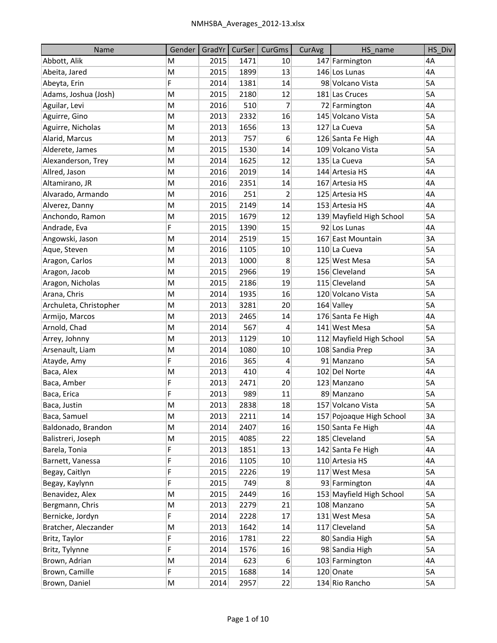| <b>Name</b>            | Gender | GradYr | CurSer | CurGms | CurAvg | HS name                  | HS Div    |
|------------------------|--------|--------|--------|--------|--------|--------------------------|-----------|
| Abbott, Alik           | M      | 2015   | 1471   | 10     |        | 147 Farmington           | 4A        |
| Abeita, Jared          | M      | 2015   | 1899   | 13     |        | 146 Los Lunas            | 4A        |
| Abeyta, Erin           | F      | 2014   | 1381   | 14     |        | 98 Volcano Vista         | 5A        |
| Adams, Joshua (Josh)   | M      | 2015   | 2180   | 12     |        | 181 Las Cruces           | 5A        |
| Aguilar, Levi          | M      | 2016   | 510    | 7      |        | 72 Farmington            | 4A        |
| Aguirre, Gino          | M      | 2013   | 2332   | 16     |        | 145 Volcano Vista        | 5A        |
| Aguirre, Nicholas      | M      | 2013   | 1656   | 13     |        | 127 La Cueva             | 5A        |
| Alarid, Marcus         | M      | 2013   | 757    | 6      |        | 126 Santa Fe High        | 4A        |
| Alderete, James        | M      | 2015   | 1530   | 14     |        | 109 Volcano Vista        | 5A        |
| Alexanderson, Trey     | M      | 2014   | 1625   | 12     |        | 135 La Cueva             | 5A        |
| Allred, Jason          | M      | 2016   | 2019   | 14     |        | 144 Artesia HS           | 4A        |
| Altamirano, JR         | M      | 2016   | 2351   | 14     |        | 167 Artesia HS           | 4A        |
| Alvarado, Armando      | M      | 2016   | 251    | 2      |        | 125 Artesia HS           | 4A        |
| Alverez, Danny         | M      | 2015   | 2149   | 14     |        | 153 Artesia HS           | 4A        |
| Anchondo, Ramon        | M      | 2015   | 1679   | 12     |        | 139 Mayfield High School | 5A        |
| Andrade, Eva           | F      | 2015   | 1390   | 15     |        | 92 Los Lunas             | 4A        |
| Angowski, Jason        | M      | 2014   | 2519   | 15     |        | 167 East Mountain        | 3A        |
| Aque, Steven           | M      | 2016   | 1105   | 10     |        | 110 La Cueva             | <b>5A</b> |
| Aragon, Carlos         | M      | 2013   | 1000   | 8      |        | 125 West Mesa            | 5A        |
| Aragon, Jacob          | M      | 2015   | 2966   | 19     |        | 156 Cleveland            | 5A        |
| Aragon, Nicholas       | M      | 2015   | 2186   | 19     |        | 115 Cleveland            | 5A        |
| Arana, Chris           | M      | 2014   | 1935   | 16     |        | 120 Volcano Vista        | 5A        |
| Archuleta, Christopher | M      | 2013   | 3281   | 20     |        | $164$ Valley             | 5A        |
| Armijo, Marcos         | M      | 2013   | 2465   | 14     |        | 176 Santa Fe High        | 4A        |
| Arnold, Chad           | M      | 2014   | 567    | 4      |        | 141 West Mesa            | 5A        |
| Arrey, Johnny          | M      | 2013   | 1129   | 10     |        | 112 Mayfield High School | 5A        |
| Arsenault, Liam        | M      | 2014   | 1080   | 10     |        | 108 Sandia Prep          | 3A        |
| Atayde, Amy            | F      | 2016   | 365    | 4      |        | 91 Manzano               | 5A        |
| Baca, Alex             | M      | 2013   | 410    | 4      |        | 102 Del Norte            | 4A        |
| Baca, Amber            | F      | 2013   | 2471   | 20     |        | 123 Manzano              | 5A        |
| Baca, Erica            | F      | 2013   | 989    | 11     |        | 89 Manzano               | 5A        |
| Baca, Justin           | M      | 2013   | 2838   | 18     |        | 157 Volcano Vista        | 5A        |
| Baca, Samuel           | M      | 2013   | 2211   | 14     |        | 157 Pojoaque High School | 3A        |
| Baldonado, Brandon     | M      | 2014   | 2407   | 16     |        | 150 Santa Fe High        | 4A        |
| Balistreri, Joseph     | M      | 2015   | 4085   | 22     |        | 185 Cleveland            | 5A        |
| Barela, Tonia          | F      | 2013   | 1851   | 13     |        | 142 Santa Fe High        | 4А        |
| Barnett, Vanessa       | F      | 2016   | 1105   | 10     |        | 110 Artesia HS           | 4A        |
| Begay, Caitlyn         | F      | 2015   | 2226   | 19     |        | 117 West Mesa            | 5A        |
| Begay, Kaylynn         | F      | 2015   | 749    | 8      |        | 93 Farmington            | 4А        |
| Benavidez, Alex        | M      | 2015   | 2449   | 16     |        | 153 Mayfield High School | 5A        |
| Bergmann, Chris        | M      | 2013   | 2279   | 21     |        | 108 Manzano              | 5А        |
| Bernicke, Jordyn       | F      | 2014   | 2228   | 17     |        | 131 West Mesa            | 5A        |
| Bratcher, Aleczander   | M      | 2013   | 1642   | 14     |        | 117 Cleveland            | 5A        |
| Britz, Taylor          | F      | 2016   | 1781   | 22     |        | 80 Sandia High           | 5A        |
| Britz, Tylynne         | F      | 2014   | 1576   | 16     |        | 98 Sandia High           | 5A        |
| Brown, Adrian          | M      | 2014   | 623    | 6      |        | 103 Farmington           | 4А        |
| Brown, Camille         | F      | 2015   | 1688   | 14     |        | 120 Onate                | 5A        |
| Brown, Daniel          | M      | 2014   | 2957   | 22     |        | 134 Rio Rancho           | 5A        |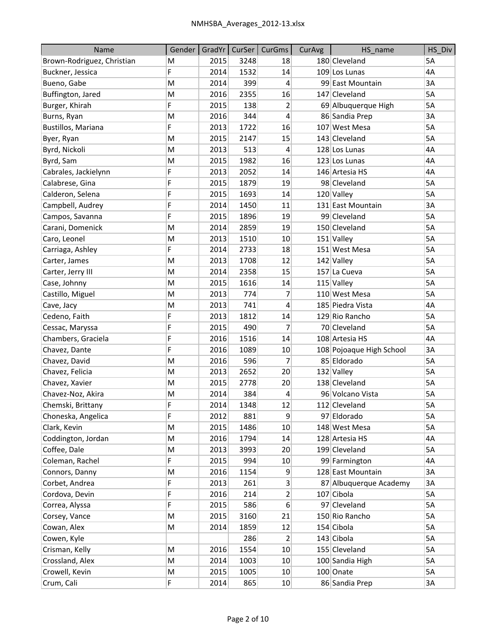| Name                       | Gender |      |      | GradYr   CurSer   CurGms | CurAvg | HS name                  | HS Div |
|----------------------------|--------|------|------|--------------------------|--------|--------------------------|--------|
| Brown-Rodriguez, Christian | M      | 2015 | 3248 | 18                       |        | 180 Cleveland            | 5A     |
| Buckner, Jessica           | F      | 2014 | 1532 | 14                       |        | 109 Los Lunas            | 4A     |
| Bueno, Gabe                | M      | 2014 | 399  | 4                        |        | 99 East Mountain         | 3A     |
| Buffington, Jared          | M      | 2016 | 2355 | 16                       |        | 147 Cleveland            | 5A     |
| Burger, Khirah             | F      | 2015 | 138  | $\overline{2}$           |        | 69 Albuquerque High      | 5A     |
| Burns, Ryan                | M      | 2016 | 344  | 4                        |        | 86 Sandia Prep           | 3A     |
| Bustillos, Mariana         | F      | 2013 | 1722 | 16                       |        | 107 West Mesa            | 5A     |
| Byer, Ryan                 | M      | 2015 | 2147 | 15                       |        | 143 Cleveland            | 5A     |
| Byrd, Nickoli              | M      | 2013 | 513  | 4                        |        | 128 Los Lunas            | 4A     |
| Byrd, Sam                  | M      | 2015 | 1982 | 16                       |        | 123 Los Lunas            | 4A     |
| Cabrales, Jackielynn       | F      | 2013 | 2052 | 14                       |        | 146 Artesia HS           | 4A     |
| Calabrese, Gina            | F      | 2015 | 1879 | 19                       |        | 98 Cleveland             | 5A     |
| Calderon, Selena           | F      | 2015 | 1693 | 14                       |        | 120 Valley               | 5A     |
| Campbell, Audrey           | F      | 2014 | 1450 | 11                       |        | 131 East Mountain        | 3A     |
| Campos, Savanna            | F      | 2015 | 1896 | 19                       |        | 99 Cleveland             | 5A     |
| Carani, Domenick           | M      | 2014 | 2859 | 19                       |        | 150 Cleveland            | 5A     |
| Caro, Leonel               | M      | 2013 | 1510 | 10                       |        | $151$ Valley             | 5A     |
| Carriaga, Ashley           | F      | 2014 | 2733 | 18                       |        | 151 West Mesa            | 5A     |
| Carter, James              | M      | 2013 | 1708 | 12                       |        | 142 Valley               | 5A     |
| Carter, Jerry III          | M      | 2014 | 2358 | 15                       |        | 157 La Cueva             | 5A     |
| Case, Johnny               | M      | 2015 | 1616 | 14                       |        | 115 Valley               | 5A     |
| Castillo, Miguel           | M      | 2013 | 774  | 7                        |        | 110 West Mesa            | 5A     |
| Cave, Jacy                 | M      | 2013 | 741  | 4                        |        | 185 Piedra Vista         | 4A     |
| Cedeno, Faith              | F      | 2013 | 1812 | 14                       |        | 129 Rio Rancho           | 5A     |
| Cessac, Maryssa            | F      | 2015 | 490  | 7                        |        | 70 Cleveland             | 5A     |
| Chambers, Graciela         | F      | 2016 | 1516 | 14                       |        | 108 Artesia HS           | 4A     |
| Chavez, Dante              | F      | 2016 | 1089 | 10                       |        | 108 Pojoaque High School | 3A     |
| Chavez, David              | M      | 2016 | 596  | 7                        |        | 85 Eldorado              | 5A     |
| Chavez, Felicia            | M      | 2013 | 2652 | 20                       |        | 132 Valley               | 5A     |
| Chavez, Xavier             | M      | 2015 | 2778 | 20                       |        | 138 Cleveland            | 5A     |
| Chavez-Noz, Akira          | M      | 2014 | 384  | 4                        |        | 96 Volcano Vista         | 5A     |
| Chemski, Brittany          | F      | 2014 | 1348 | 12                       |        | 112 Cleveland            | 5A     |
| Choneska, Angelica         | F      | 2012 | 881  | 9                        |        | 97 Eldorado              | 5A     |
| Clark, Kevin               | M      | 2015 | 1486 | 10                       |        | 148 West Mesa            | 5A     |
| Coddington, Jordan         | M      | 2016 | 1794 | 14                       |        | 128 Artesia HS           | 4A     |
| Coffee, Dale               | M      | 2013 | 3993 | 20                       |        | 199 Cleveland            | 5A     |
| Coleman, Rachel            | F      | 2015 | 994  | 10                       |        | 99 Farmington            | 4А     |
| Connors, Danny             | M      | 2016 | 1154 | 9                        |        | 128 East Mountain        | 3A     |
| Corbet, Andrea             | F      | 2013 | 261  | 3                        |        | 87 Albuquerque Academy   | 3A     |
| Cordova, Devin             | F      | 2016 | 214  | $\overline{2}$           |        | 107 Cibola               | 5A     |
| Correa, Alyssa             | F      | 2015 | 586  | 6                        |        | 97 Cleveland             | 5A     |
| Corsey, Vance              | M      | 2015 | 3160 | 21                       |        | 150 Rio Rancho           | 5A     |
| Cowan, Alex                | M      | 2014 | 1859 | 12                       |        | 154 Cibola               | 5A     |
| Cowen, Kyle                |        |      | 286  | 2                        |        | 143 Cibola               | 5A     |
| Crisman, Kelly             | M      | 2016 | 1554 | 10                       |        | 155 Cleveland            | 5A     |
| Crossland, Alex            | M      | 2014 | 1003 | 10                       |        | 100 Sandia High          | 5A     |
| Crowell, Kevin             | M      | 2015 | 1005 | 10                       |        | 100 Onate                | 5A     |
| Crum, Cali                 | F      | 2014 | 865  | 10                       |        | 86 Sandia Prep           | 3A     |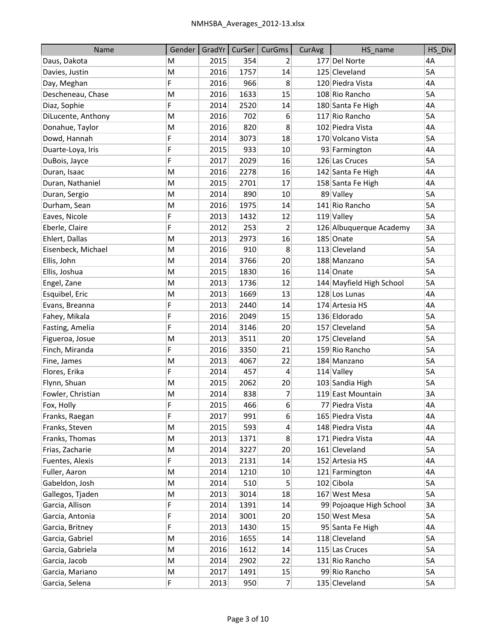| Name               | Gender |      |      | GradYr   CurSer   CurGms | CurAvg | HS_name                  | HS Div    |
|--------------------|--------|------|------|--------------------------|--------|--------------------------|-----------|
| Daus, Dakota       | M      | 2015 | 354  | 2                        |        | 177 Del Norte            | 4A        |
| Davies, Justin     | M      | 2016 | 1757 | 14                       |        | 125 Cleveland            | <b>5A</b> |
| Day, Meghan        | F      | 2016 | 966  | 8                        |        | 120 Piedra Vista         | 4A        |
| Descheneau, Chase  | M      | 2016 | 1633 | 15                       |        | 108 Rio Rancho           | 5A        |
| Diaz, Sophie       | F      | 2014 | 2520 | 14                       |        | 180 Santa Fe High        | 4A        |
| DiLucente, Anthony | M      | 2016 | 702  | 6                        |        | 117 Rio Rancho           | 5A        |
| Donahue, Taylor    | M      | 2016 | 820  | 8                        |        | 102 Piedra Vista         | 4A        |
| Dowd, Hannah       | F      | 2014 | 3073 | 18                       |        | 170 Volcano Vista        | 5A        |
| Duarte-Loya, Iris  | F      | 2015 | 933  | 10                       |        | 93 Farmington            | 4A        |
| DuBois, Jayce      | F      | 2017 | 2029 | 16                       |        | 126 Las Cruces           | 5A        |
| Duran, Isaac       | M      | 2016 | 2278 | 16                       |        | 142 Santa Fe High        | 4A        |
| Duran, Nathaniel   | M      | 2015 | 2701 | 17                       |        | 158 Santa Fe High        | 4A        |
| Duran, Sergio      | M      | 2014 | 890  | 10                       |        | 89 Valley                | 5A        |
| Durham, Sean       | M      | 2016 | 1975 | 14                       |        | 141 Rio Rancho           | 5A        |
| Eaves, Nicole      | F      | 2013 | 1432 | 12                       |        | $119$ Valley             | 5A        |
| Eberle, Claire     | F      | 2012 | 253  | 2                        |        | 126 Albuquerque Academy  | 3A        |
| Ehlert, Dallas     | M      | 2013 | 2973 | 16                       |        | 185 Onate                | 5A        |
| Eisenbeck, Michael | M      | 2016 | 910  | 8                        |        | 113 Cleveland            | 5A        |
| Ellis, John        | M      | 2014 | 3766 | 20                       |        | 188 Manzano              | 5A        |
| Ellis, Joshua      | M      | 2015 | 1830 | 16                       |        | 114 Onate                | 5A        |
| Engel, Zane        | M      | 2013 | 1736 | 12                       |        | 144 Mayfield High School | 5A        |
| Esquibel, Eric     | M      | 2013 | 1669 | 13                       |        | 128 Los Lunas            | 4A        |
| Evans, Breanna     | F      | 2013 | 2440 | 14                       |        | 174 Artesia HS           | 4A        |
| Fahey, Mikala      | F      | 2016 | 2049 | 15                       |        | 136 Eldorado             | 5A        |
| Fasting, Amelia    | F      | 2014 | 3146 | 20                       |        | 157 Cleveland            | 5A        |
| Figueroa, Josue    | M      | 2013 | 3511 | 20                       |        | 175 Cleveland            | 5A        |
| Finch, Miranda     | F      | 2016 | 3350 | 21                       |        | 159 Rio Rancho           | 5A        |
| Fine, James        | M      | 2013 | 4067 | 22                       |        | 184 Manzano              | 5A        |
| Flores, Erika      | F      | 2014 | 457  | 4                        |        | $114$ Valley             | 5A        |
| Flynn, Shuan       | M      | 2015 | 2062 | 20                       |        | 103 Sandia High          | 5A        |
| Fowler, Christian  | M      | 2014 | 838  | 7                        |        | 119 East Mountain        | 3A        |
| Fox, Holly         | F      | 2015 | 466  | 6                        |        | 77 Piedra Vista          | 4A        |
| Franks, Raegan     | F      | 2017 | 991  | 6                        |        | 165 Piedra Vista         | 4A        |
| Franks, Steven     | M      | 2015 | 593  | 4                        |        | 148 Piedra Vista         | 4A        |
| Franks, Thomas     | M      | 2013 | 1371 | 8                        |        | 171 Piedra Vista         | 4A        |
| Frias, Zacharie    | M      | 2014 | 3227 | 20                       |        | 161 Cleveland            | 5A        |
| Fuentes, Alexis    | F      | 2013 | 2131 | 14                       |        | 152 Artesia HS           | 4A        |
| Fuller, Aaron      | M      | 2014 | 1210 | 10                       |        | 121 Farmington           | 4A        |
| Gabeldon, Josh     | M      | 2014 | 510  | 5                        |        | $102$ Cibola             | 5A        |
| Gallegos, Tjaden   | M      | 2013 | 3014 | 18                       |        | 167 West Mesa            | 5A        |
| Garcia, Allison    | F      | 2014 | 1391 | 14                       |        | 99 Pojoaque High School  | 3A        |
| Garcia, Antonia    | F      | 2014 | 3001 | 20                       |        | 150 West Mesa            | 5A        |
| Garcia, Britney    | F      | 2013 | 1430 | 15                       |        | 95 Santa Fe High         | 4Α        |
| Garcia, Gabriel    | M      | 2016 | 1655 | 14                       |        | 118 Cleveland            | 5A        |
| Garcia, Gabriela   | M      | 2016 | 1612 | 14                       |        | 115 Las Cruces           | 5A        |
| Garcia, Jacob      | M      | 2014 | 2902 | 22                       |        | 131 Rio Rancho           | 5A        |
| Garcia, Mariano    | M      | 2017 | 1491 | 15                       |        | 99 Rio Rancho            | 5A        |
| Garcia, Selena     | F      | 2013 | 950  | $\overline{7}$           |        | 135 Cleveland            | 5A        |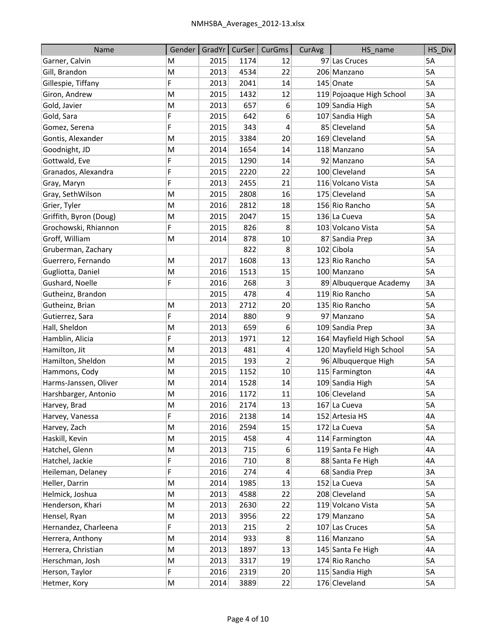| Name                   | Gender | GradYr | CurSer | CurGms           | CurAvg | HS name                  | HS_Div |
|------------------------|--------|--------|--------|------------------|--------|--------------------------|--------|
| Garner, Calvin         | M      | 2015   | 1174   | 12               |        | 97 Las Cruces            | 5A     |
| Gill, Brandon          | M      | 2013   | 4534   | 22               |        | 206 Manzano              | 5A     |
| Gillespie, Tiffany     | F      | 2013   | 2041   | 14               |        | 145 Onate                | 5A     |
| Giron, Andrew          | M      | 2015   | 1432   | 12               |        | 119 Pojoaque High School | 3A     |
| Gold, Javier           | M      | 2013   | 657    | 6                |        | 109 Sandia High          | 5A     |
| Gold, Sara             | F      | 2015   | 642    | 6                |        | 107 Sandia High          | 5A     |
| Gomez, Serena          | F      | 2015   | 343    | 4                |        | 85 Cleveland             | 5A     |
| Gontis, Alexander      | M      | 2015   | 3384   | 20               |        | 169 Cleveland            | 5A     |
| Goodnight, JD          | M      | 2014   | 1654   | 14               |        | 118 Manzano              | 5A     |
| Gottwald, Eve          | F      | 2015   | 1290   | 14               |        | 92 Manzano               | 5A     |
| Granados, Alexandra    | F      | 2015   | 2220   | 22               |        | 100 Cleveland            | 5A     |
| Gray, Maryn            | F      | 2013   | 2455   | 21               |        | 116 Volcano Vista        | 5A     |
| Gray, SethWilson       | M      | 2015   | 2808   | 16               |        | 175 Cleveland            | 5A     |
| Grier, Tyler           | M      | 2016   | 2812   | 18               |        | 156 Rio Rancho           | 5A     |
| Griffith, Byron (Doug) | M      | 2015   | 2047   | 15               |        | 136 La Cueva             | 5A     |
| Grochowski, Rhiannon   | F      | 2015   | 826    | 8                |        | 103 Volcano Vista        | 5A     |
| Groff, William         | M      | 2014   | 878    | 10               |        | 87 Sandia Prep           | 3A     |
| Gruberman, Zachary     |        |        | 822    | 8                |        | 102 Cibola               | 5A     |
| Guerrero, Fernando     | M      | 2017   | 1608   | 13               |        | 123 Rio Rancho           | 5A     |
| Gugliotta, Daniel      | M      | 2016   | 1513   | 15               |        | 100 Manzano              | 5A     |
| Gushard, Noelle        | F      | 2016   | 268    | 3                |        | 89 Albuquerque Academy   | 3A     |
| Gutheinz, Brandon      |        | 2015   | 478    | 4                |        | 119 Rio Rancho           | 5A     |
| Gutheinz, Brian        | M      | 2013   | 2712   | 20               |        | 135 Rio Rancho           | 5A     |
| Gutierrez, Sara        | F      | 2014   | 880    | 9                |        | 97 Manzano               | 5A     |
| Hall, Sheldon          | M      | 2013   | 659    | 6                |        | 109 Sandia Prep          | 3A     |
| Hamblin, Alicia        | F      | 2013   | 1971   | 12               |        | 164 Mayfield High School | 5A     |
| Hamilton, Jit          | M      | 2013   | 481    | 4                |        | 120 Mayfield High School | 5A     |
| Hamilton, Sheldon      | M      | 2015   | 193    | $\overline{c}$   |        | 96 Albuquerque High      | 5A     |
| Hammons, Cody          | M      | 2015   | 1152   | 10               |        | 115 Farmington           | 4A     |
| Harms-Janssen, Oliver  | M      | 2014   | 1528   | 14               |        | 109 Sandia High          | 5A     |
| Harshbarger, Antonio   | M      | 2016   | 1172   | 11               |        | 106 Cleveland            | 5A     |
| Harvey, Brad           | M      | 2016   | 2174   | 13               |        | 167 La Cueva             | 5A     |
| Harvey, Vanessa        | F      | 2016   | 2138   | 14               |        | 152 Artesia HS           | 4Α     |
| Harvey, Zach           | M      | 2016   | 2594   | 15               |        | 172 La Cueva             | 5A     |
| Haskill, Kevin         | M      | 2015   | 458    | $\overline{a}$   |        | 114 Farmington           | 4A     |
| Hatchel, Glenn         | M      | 2013   | 715    | $6 \overline{6}$ |        | 119 Santa Fe High        | 4А     |
| Hatchel, Jackie        | F      | 2016   | 710    | 8                |        | 88 Santa Fe High         | 4А     |
| Heileman, Delaney      | F      | 2016   | 274    | 4                |        | 68 Sandia Prep           | 3A     |
| Heller, Darrin         | М      | 2014   | 1985   | 13               |        | 152 La Cueva             | 5A     |
| Helmick, Joshua        | M      | 2013   | 4588   | 22               |        | 208 Cleveland            | 5A     |
| Henderson, Khari       | M      | 2013   | 2630   | 22               |        | 119 Volcano Vista        | 5A     |
| Hensel, Ryan           | M      | 2013   | 3956   | 22               |        | 179 Manzano              | 5A     |
| Hernandez, Charleena   | F      | 2013   | 215    | 2                |        | 107 Las Cruces           | 5A     |
| Herrera, Anthony       | M      | 2014   | 933    | 8                |        | 116 Manzano              | 5A     |
| Herrera, Christian     | M      | 2013   | 1897   | 13               |        | 145 Santa Fe High        | 4A     |
| Herschman, Josh        | M      | 2013   | 3317   | 19               |        | 174 Rio Rancho           | 5A     |
| Herson, Taylor         | F      | 2016   | 2319   | 20               |        | 115 Sandia High          | 5A     |
| Hetmer, Kory           | M      | 2014   | 3889   | 22               |        | 176 Cleveland            | 5A     |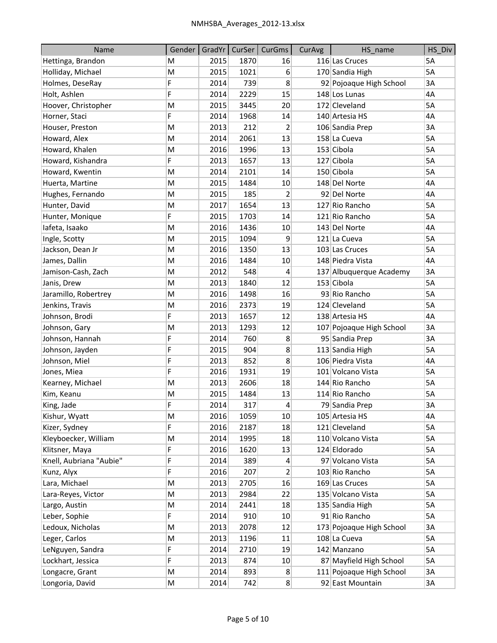| Name                    | Gender | GradYr | CurSer | CurGms         | CurAvg | HS_name                  | HS_Div |
|-------------------------|--------|--------|--------|----------------|--------|--------------------------|--------|
| Hettinga, Brandon       | M      | 2015   | 1870   | 16             |        | 116 Las Cruces           | 5A     |
| Holliday, Michael       | M      | 2015   | 1021   | 6              |        | 170 Sandia High          | 5A     |
| Holmes, DeseRay         | F      | 2014   | 739    | 8              |        | 92 Pojoaque High School  | 3A     |
| Holt, Ashlen            | F      | 2014   | 2229   | 15             |        | 148 Los Lunas            | 4A     |
| Hoover, Christopher     | M      | 2015   | 3445   | 20             |        | 172 Cleveland            | 5A     |
| Horner, Staci           | F      | 2014   | 1968   | 14             |        | 140 Artesia HS           | 4A     |
| Houser, Preston         | M      | 2013   | 212    | 2              |        | 106 Sandia Prep          | 3A     |
| Howard, Alex            | M      | 2014   | 2061   | 13             |        | 158 La Cueva             | 5A     |
| Howard, Khalen          | M      | 2016   | 1996   | 13             |        | 153 Cibola               | 5A     |
| Howard, Kishandra       | F      | 2013   | 1657   | 13             |        | 127 Cibola               | 5A     |
| Howard, Kwentin         | M      | 2014   | 2101   | 14             |        | 150 Cibola               | 5A     |
| Huerta, Martine         | M      | 2015   | 1484   | 10             |        | 148 Del Norte            | 4A     |
| Hughes, Fernando        | M      | 2015   | 185    | $\overline{c}$ |        | 92 Del Norte             | 4A     |
| Hunter, David           | M      | 2017   | 1654   | 13             |        | 127 Rio Rancho           | 5A     |
| Hunter, Monique         | F      | 2015   | 1703   | 14             |        | 121 Rio Rancho           | 5A     |
| lafeta, Isaako          | M      | 2016   | 1436   | 10             |        | 143 Del Norte            | 4A     |
| Ingle, Scotty           | M      | 2015   | 1094   | 9              |        | 121 La Cueva             | 5A     |
| Jackson, Dean Jr        | M      | 2016   | 1350   | 13             |        | 103 Las Cruces           | 5A     |
| James, Dallin           | M      | 2016   | 1484   | 10             |        | 148 Piedra Vista         | 4A     |
| Jamison-Cash, Zach      | M      | 2012   | 548    | 4              |        | 137 Albuquerque Academy  | 3A     |
| Janis, Drew             | M      | 2013   | 1840   | 12             |        | 153 Cibola               | 5A     |
| Jaramillo, Robertrey    | M      | 2016   | 1498   | 16             |        | 93 Rio Rancho            | 5A     |
| Jenkins, Travis         | M      | 2016   | 2373   | 19             |        | 124 Cleveland            | 5A     |
| Johnson, Brodi          | F      | 2013   | 1657   | 12             |        | 138 Artesia HS           | 4A     |
| Johnson, Gary           | M      | 2013   | 1293   | 12             |        | 107 Pojoaque High School | 3A     |
| Johnson, Hannah         | F      | 2014   | 760    | 8              |        | 95 Sandia Prep           | 3A     |
| Johnson, Jayden         | F      | 2015   | 904    | 8              |        | 113 Sandia High          | 5A     |
| Johnson, Miel           | F      | 2013   | 852    | 8              |        | 106 Piedra Vista         | 4A     |
| Jones, Miea             | F      | 2016   | 1931   | 19             |        | 101 Volcano Vista        | 5A     |
| Kearney, Michael        | M      | 2013   | 2606   | 18             |        | 144 Rio Rancho           | 5A     |
| Kim, Keanu              | M      | 2015   | 1484   | 13             |        | 114 Rio Rancho           | 5A     |
| King, Jade              | F      | 2014   | 317    | 4              |        | 79 Sandia Prep           | 3A     |
| Kishur, Wyatt           | M      | 2016   | 1059   | 10             |        | 105 Artesia HS           | 4А     |
| Kizer, Sydney           | F      | 2016   | 2187   | 18             |        | 121 Cleveland            | 5A     |
| Kleyboecker, William    | M      | 2014   | 1995   | 18             |        | 110 Volcano Vista        | 5A     |
| Klitsner, Maya          | F      | 2016   | 1620   | 13             |        | 124 Eldorado             | 5A     |
| Knell, Aubriana "Aubie" | F      | 2014   | 389    | 4              |        | 97 Volcano Vista         | 5A     |
| Kunz, Alyx              | F      | 2016   | 207    | $\overline{2}$ |        | 103 Rio Rancho           | 5A     |
| Lara, Michael           | М      | 2013   | 2705   | 16             |        | 169 Las Cruces           | 5A     |
| Lara-Reyes, Victor      | M      | 2013   | 2984   | 22             |        | 135 Volcano Vista        | 5A     |
| Largo, Austin           | M      | 2014   | 2441   | 18             |        | 135 Sandia High          | 5A     |
| Leber, Sophie           | F      | 2014   | 910    | 10             |        | 91 Rio Rancho            | 5A     |
| Ledoux, Nicholas        | M      | 2013   | 2078   | 12             |        | 173 Pojoaque High School | ЗA     |
| Leger, Carlos           | M      | 2013   | 1196   | 11             |        | 108 La Cueva             | 5A     |
| LeNguyen, Sandra        | F      | 2014   | 2710   | 19             |        | 142 Manzano              | 5A     |
| Lockhart, Jessica       | F      | 2013   | 874    | 10             |        | 87 Mayfield High School  | 5A     |
| Longacre, Grant         | M      | 2014   | 893    | 8              |        | 111 Pojoaque High School | 3A     |
| Longoria, David         | M      | 2014   | 742    | 8              |        | 92 East Mountain         | 3A     |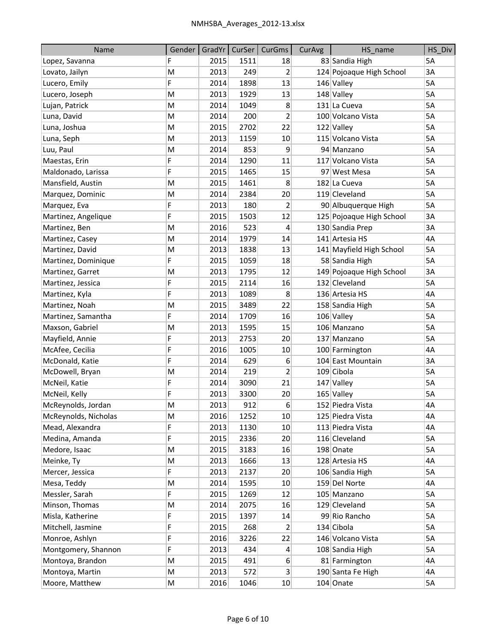| Name                 | Gender | GradYr |      | CurSer   CurGms         | CurAvg | HS name                  | HS Div |
|----------------------|--------|--------|------|-------------------------|--------|--------------------------|--------|
| Lopez, Savanna       | F      | 2015   | 1511 | 18                      |        | 83 Sandia High           | 5A     |
| Lovato, Jailyn       | M      | 2013   | 249  | $\overline{2}$          |        | 124 Pojoaque High School | 3A     |
| Lucero, Emily        | F      | 2014   | 1898 | 13                      |        | 146 Valley               | 5A     |
| Lucero, Joseph       | M      | 2013   | 1929 | 13                      |        | 148 Valley               | 5A     |
| Lujan, Patrick       | M      | 2014   | 1049 | 8                       |        | 131 La Cueva             | 5A     |
| Luna, David          | M      | 2014   | 200  | $\overline{\mathbf{c}}$ |        | 100 Volcano Vista        | 5A     |
| Luna, Joshua         | M      | 2015   | 2702 | 22                      |        | 122 Valley               | 5A     |
| Luna, Seph           | M      | 2013   | 1159 | 10                      |        | 115 Volcano Vista        | 5A     |
| Luu, Paul            | M      | 2014   | 853  | 9                       |        | 94 Manzano               | 5A     |
| Maestas, Erin        | F      | 2014   | 1290 | 11                      |        | 117 Volcano Vista        | 5A     |
| Maldonado, Larissa   | F      | 2015   | 1465 | 15                      |        | 97 West Mesa             | 5A     |
| Mansfield, Austin    | M      | 2015   | 1461 | 8                       |        | 182 La Cueva             | 5A     |
| Marquez, Dominic     | M      | 2014   | 2384 | 20                      |        | 119 Cleveland            | 5A     |
| Marquez, Eva         | F      | 2013   | 180  | 2                       |        | 90 Albuquerque High      | 5A     |
| Martinez, Angelique  | F      | 2015   | 1503 | 12                      |        | 125 Pojoaque High School | 3A     |
| Martinez, Ben        | M      | 2016   | 523  | 4                       |        | 130 Sandia Prep          | 3A     |
| Martinez, Casey      | M      | 2014   | 1979 | 14                      |        | 141 Artesia HS           | 4A     |
| Martinez, David      | M      | 2013   | 1838 | 13                      |        | 141 Mayfield High School | 5A     |
| Martinez, Dominique  | F      | 2015   | 1059 | 18                      |        | 58 Sandia High           | 5A     |
| Martinez, Garret     | M      | 2013   | 1795 | 12                      |        | 149 Pojoaque High School | 3A     |
| Martinez, Jessica    | F      | 2015   | 2114 | 16                      |        | 132 Cleveland            | 5A     |
| Martinez, Kyla       | F      | 2013   | 1089 | 8                       |        | 136 Artesia HS           | 4A     |
| Martinez, Noah       | M      | 2015   | 3489 | 22                      |        | 158 Sandia High          | 5A     |
| Martinez, Samantha   | F      | 2014   | 1709 | 16                      |        | 106 Valley               | 5A     |
| Maxson, Gabriel      | M      | 2013   | 1595 | 15                      |        | 106 Manzano              | 5A     |
| Mayfield, Annie      | F      | 2013   | 2753 | 20                      |        | 137 Manzano              | 5A     |
| McAfee, Cecilia      | F      | 2016   | 1005 | 10                      |        | 100 Farmington           | 4A     |
| McDonald, Katie      | F      | 2014   | 629  | 6                       |        | 104 East Mountain        | 3A     |
| McDowell, Bryan      | M      | 2014   | 219  | 2                       |        | 109 Cibola               | 5A     |
| McNeil, Katie        | F      | 2014   | 3090 | 21                      |        | 147 Valley               | 5A     |
| McNeil, Kelly        | F      | 2013   | 3300 | 20                      |        | 165 Valley               | 5A     |
| McReynolds, Jordan   | M      | 2013   | 912  | 6                       |        | 152 Piedra Vista         | 4A     |
| McReynolds, Nicholas | M      | 2016   | 1252 | 10                      |        | 125 Piedra Vista         | 4A     |
| Mead, Alexandra      | F      | 2013   | 1130 | 10                      |        | 113 Piedra Vista         | 4A     |
| Medina, Amanda       | F      | 2015   | 2336 | 20                      |        | 116 Cleveland            | 5A     |
| Medore, Isaac        | M      | 2015   | 3183 | 16                      |        | 198 Onate                | 5A     |
| Meinke, Ty           | M      | 2013   | 1666 | 13                      |        | 128 Artesia HS           | 4A     |
| Mercer, Jessica      | F      | 2013   | 2137 | 20                      |        | 106 Sandia High          | 5A     |
| Mesa, Teddy          | M      | 2014   | 1595 | 10                      |        | 159 Del Norte            | 4A     |
| Messler, Sarah       | F      | 2015   | 1269 | 12                      |        | 105 Manzano              | 5A     |
| Minson, Thomas       | M      | 2014   | 2075 | 16                      |        | 129 Cleveland            | 5A     |
| Misla, Katherine     | F      | 2015   | 1397 | 14                      |        | 99 Rio Rancho            | 5A     |
| Mitchell, Jasmine    | F      | 2015   | 268  | 2                       |        | 134 Cibola               | 5A     |
| Monroe, Ashlyn       | F      | 2016   | 3226 | 22                      |        | 146 Volcano Vista        | 5A     |
| Montgomery, Shannon  | F      | 2013   | 434  | 4                       |        | 108 Sandia High          | 5A     |
| Montoya, Brandon     | M      | 2015   | 491  | $6 \overline{6}$        |        | 81 Farmington            | 4A     |
| Montoya, Martin      | M      | 2013   | 572  | 3                       |        | 190 Santa Fe High        | 4А     |
| Moore, Matthew       | M      | 2016   | 1046 | 10                      |        | 104 Onate                | 5A     |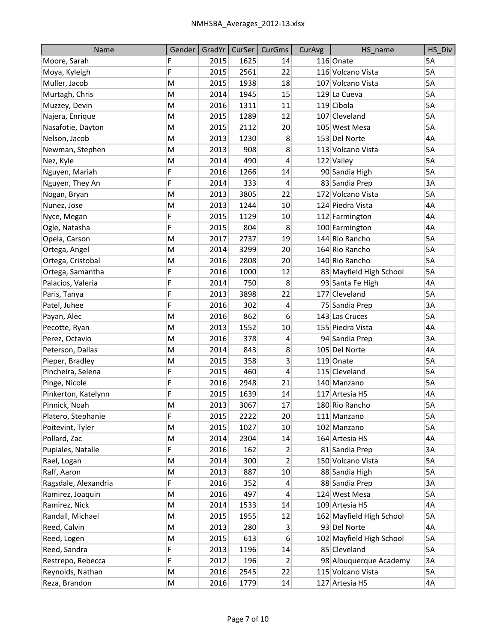| Name                 | Gender |      | GradYr   CurSer | CurGms         | CurAvg | HS name                  | HS Div |
|----------------------|--------|------|-----------------|----------------|--------|--------------------------|--------|
| Moore, Sarah         | F      | 2015 | 1625            | 14             |        | 116 Onate                | 5A     |
| Moya, Kyleigh        | F      | 2015 | 2561            | 22             |        | 116 Volcano Vista        | 5A     |
| Muller, Jacob        | M      | 2015 | 1938            | 18             |        | 107 Volcano Vista        | 5A     |
| Murtagh, Chris       | M      | 2014 | 1945            | 15             |        | 129 La Cueva             | 5A     |
| Muzzey, Devin        | M      | 2016 | 1311            | 11             |        | 119 Cibola               | 5A     |
| Najera, Enrique      | M      | 2015 | 1289            | 12             |        | 107 Cleveland            | 5A     |
| Nasafotie, Dayton    | M      | 2015 | 2112            | 20             |        | 105 West Mesa            | 5A     |
| Nelson, Jacob        | M      | 2013 | 1230            | 8              |        | 153 Del Norte            | 4A     |
| Newman, Stephen      | M      | 2013 | 908             | 8              |        | 113 Volcano Vista        | 5A     |
| Nez, Kyle            | M      | 2014 | 490             | 4              |        | 122 Valley               | 5A     |
| Nguyen, Mariah       | F      | 2016 | 1266            | 14             |        | 90 Sandia High           | 5A     |
| Nguyen, They An      | F      | 2014 | 333             | 4              |        | 83 Sandia Prep           | 3A     |
| Nogan, Bryan         | M      | 2013 | 3805            | 22             |        | 172 Volcano Vista        | 5A     |
| Nunez, Jose          | M      | 2013 | 1244            | 10             |        | 124 Piedra Vista         | 4A     |
| Nyce, Megan          | F      | 2015 | 1129            | 10             |        | 112 Farmington           | 4A     |
| Ogle, Natasha        | F      | 2015 | 804             | 8              |        | 100 Farmington           | 4A     |
| Opela, Carson        | M      | 2017 | 2737            | 19             |        | 144 Rio Rancho           | 5A     |
| Ortega, Angel        | M      | 2014 | 3299            | 20             |        | 164 Rio Rancho           | 5A     |
| Ortega, Cristobal    | M      | 2016 | 2808            | 20             |        | 140 Rio Rancho           | 5A     |
| Ortega, Samantha     | F      | 2016 | 1000            | 12             |        | 83 Mayfield High School  | 5A     |
| Palacios, Valeria    | F      | 2014 | 750             | 8              |        | 93 Santa Fe High         | 4A     |
| Paris, Tanya         | F      | 2013 | 3898            | 22             |        | 177 Cleveland            | 5A     |
| Patel, Juhee         | F      | 2016 | 302             | 4              |        | 75 Sandia Prep           | 3A     |
| Payan, Alec          | M      | 2016 | 862             | 6              |        | 143 Las Cruces           | 5A     |
| Pecotte, Ryan        | M      | 2013 | 1552            | 10             |        | 155 Piedra Vista         | 4A     |
| Perez, Octavio       | M      | 2016 | 378             | 4              |        | 94 Sandia Prep           | 3A     |
| Peterson, Dallas     | M      | 2014 | 843             | 8              |        | 105 Del Norte            | 4A     |
| Pieper, Bradley      | M      | 2015 | 358             | 3              |        | 119 Onate                | 5A     |
| Pincheira, Selena    | F      | 2015 | 460             | 4              |        | 115 Cleveland            | 5A     |
| Pinge, Nicole        | F      | 2016 | 2948            | 21             |        | 140 Manzano              | 5A     |
| Pinkerton, Katelynn  | F      | 2015 | 1639            | 14             |        | 117 Artesia HS           | 4A     |
| Pinnick, Noah        | M      | 2013 | 3067            | 17             |        | 180 Rio Rancho           | 5A     |
| Platero, Stephanie   | F      | 2015 | 2222            | 20             |        | 111 Manzano              | 5A     |
| Poitevint, Tyler     | M      | 2015 | 1027            | 10             |        | 102 Manzano              | 5A     |
| Pollard, Zac         | M      | 2014 | 2304            | 14             |        | 164 Artesia HS           | 4A     |
| Pupiales, Natalie    | F      | 2016 | 162             | 2              |        | 81 Sandia Prep           | 3A     |
| Rael, Logan          | M      | 2014 | 300             | 2              |        | 150 Volcano Vista        | 5A     |
| Raff, Aaron          | M      | 2013 | 887             | 10             |        | 88 Sandia High           | 5A     |
| Ragsdale, Alexandria | F      | 2016 | 352             | 4              |        | 88 Sandia Prep           | 3A     |
| Ramirez, Joaquin     | M      | 2016 | 497             | 4              |        | 124 West Mesa            | 5A     |
| Ramirez, Nick        | M      | 2014 | 1533            | 14             |        | 109 Artesia HS           | 4A     |
| Randall, Michael     | M      | 2015 | 1955            | 12             |        | 162 Mayfield High School | 5A     |
| Reed, Calvin         | M      | 2013 | 280             | $\overline{3}$ |        | 93 Del Norte             | 4А     |
| Reed, Logen          | M      | 2015 | 613             | 6              |        | 102 Mayfield High School | 5A     |
| Reed, Sandra         | F      | 2013 | 1196            | 14             |        | 85 Cleveland             | 5A     |
| Restrepo, Rebecca    | F      | 2012 | 196             | 2              |        | 98 Albuquerque Academy   | 3A     |
| Reynolds, Nathan     | М      | 2016 | 2545            | 22             |        | 115 Volcano Vista        | 5А     |
| Reza, Brandon        | M      | 2016 | 1779            | 14             |        | 127 Artesia HS           | 4А     |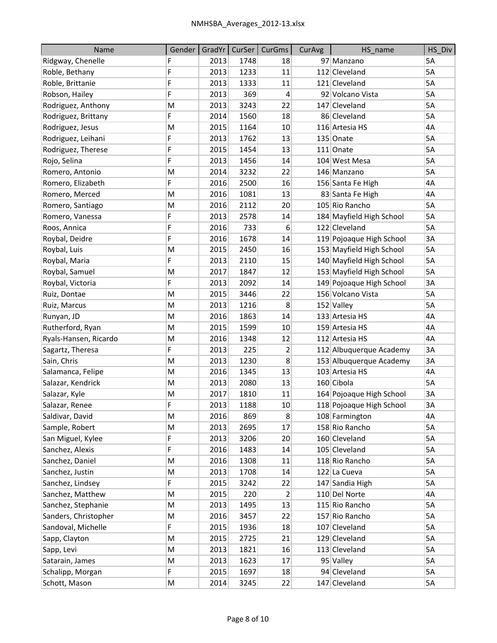| Name                  | Gender |      |      | GradYr   CurSer   CurGms | CurAvg | HS_name                  | HS_Div |
|-----------------------|--------|------|------|--------------------------|--------|--------------------------|--------|
| Ridgway, Chenelle     | F      | 2013 | 1748 | 18                       |        | 97 Manzano               | 5A     |
| Roble, Bethany        | F      | 2013 | 1233 | 11                       |        | 112 Cleveland            | 5A     |
| Roble, Brittanie      | F      | 2013 | 1333 | 11                       |        | 121 Cleveland            | 5A     |
| Robson, Hailey        | F      | 2013 | 369  | 4                        |        | 92 Volcano Vista         | 5A     |
| Rodriguez, Anthony    | M      | 2013 | 3243 | 22                       |        | 147 Cleveland            | 5A     |
| Rodriguez, Brittany   | F      | 2014 | 1560 | 18                       |        | 86 Cleveland             | 5A     |
| Rodriguez, Jesus      | M      | 2015 | 1164 | 10                       |        | 116 Artesia HS           | 4A     |
| Rodriguez, Leihani    | F      | 2013 | 1762 | 13                       |        | 135 Onate                | 5A     |
| Rodriguez, Therese    | F      | 2015 | 1454 | 13                       |        | $111$ Onate              | 5A     |
| Rojo, Selina          | F      | 2013 | 1456 | 14                       |        | 104 West Mesa            | 5A     |
| Romero, Antonio       | M      | 2014 | 3232 | 22                       |        | 146 Manzano              | 5A     |
| Romero, Elizabeth     | F      | 2016 | 2500 | 16                       |        | 156 Santa Fe High        | 4A     |
| Romero, Merced        | M      | 2016 | 1081 | 13                       |        | 83 Santa Fe High         | 4A     |
| Romero, Santiago      | M      | 2016 | 2112 | 20                       |        | 105 Rio Rancho           | 5A     |
| Romero, Vanessa       | F      | 2013 | 2578 | 14                       |        | 184 Mayfield High School | 5A     |
| Roos, Annica          | F      | 2016 | 733  | 6                        |        | 122 Cleveland            | 5A     |
| Roybal, Deidre        | F      | 2016 | 1678 | 14                       |        | 119 Pojoaque High School | 3A     |
| Roybal, Luis          | M      | 2015 | 2450 | 16                       |        | 153 Mayfield High School | 5A     |
| Roybal, Maria         | F      | 2013 | 2110 | 15                       |        | 140 Mayfield High School | 5A     |
| Roybal, Samuel        | M      | 2017 | 1847 | 12                       |        | 153 Mayfield High School | 5A     |
| Roybal, Victoria      | F      | 2013 | 2092 | 14                       |        | 149 Pojoaque High School | 3A     |
| Ruiz, Dontae          | M      | 2015 | 3446 | 22                       |        | 156 Volcano Vista        | 5A     |
| Ruiz, Marcus          | M      | 2013 | 1216 | 8                        |        | 152 Valley               | 5A     |
| Runyan, JD            | M      | 2016 | 1863 | 14                       |        | 133 Artesia HS           | 4A     |
| Rutherford, Ryan      | M      | 2015 | 1599 | 10                       |        | 159 Artesia HS           | 4A     |
| Ryals-Hansen, Ricardo | M      | 2016 | 1348 | 12                       |        | 112 Artesia HS           | 4A     |
| Sagartz, Theresa      | F      | 2013 | 225  | $\overline{2}$           |        | 112 Albuquerque Academy  | 3A     |
| Sain, Chris           | M      | 2013 | 1230 | 8                        |        | 153 Albuquerque Academy  | 3A     |
| Salamanca, Felipe     | M      | 2016 | 1345 | 13                       |        | 103 Artesia HS           | 4A     |
| Salazar, Kendrick     | M      | 2013 | 2080 | 13                       |        | 160 Cibola               | 5A     |
| Salazar, Kyle         | M      | 2017 | 1810 | 11                       |        | 164 Pojoaque High School | 3A     |
| Salazar, Renee        | F      | 2013 | 1188 | 10                       |        | 118 Pojoaque High School | 3A     |
| Saldivar, David       | М      | 2016 | 869  | 8                        |        | 108 Farmington           | 4A     |
| Sample, Robert        | M      | 2013 | 2695 | 17                       |        | 158 Rio Rancho           | 5A     |
| San Miguel, Kylee     | F      | 2013 | 3206 | 20                       |        | 160 Cleveland            | 5A     |
| Sanchez, Alexis       | F      | 2016 | 1483 | 14                       |        | 105 Cleveland            | 5A     |
| Sanchez, Daniel       | M      | 2016 | 1308 | 11                       |        | 118 Rio Rancho           | 5A     |
| Sanchez, Justin       | M      | 2013 | 1708 | 14                       |        | 122 La Cueva             | 5A     |
| Sanchez, Lindsey      | F      | 2015 | 3242 | 22                       |        | 147 Sandia High          | 5A     |
| Sanchez, Matthew      | M      | 2015 | 220  | 2                        |        | 110 Del Norte            | 4A     |
| Sanchez, Stephanie    | M      | 2013 | 1495 | 13                       |        | 115 Rio Rancho           | 5A     |
| Sanders, Christopher  | M      | 2016 | 3457 | 22                       |        | 157 Rio Rancho           | 5A     |
| Sandoval, Michelle    | F      | 2015 | 1936 | 18                       |        | 107 Cleveland            | 5A     |
| Sapp, Clayton         | M      | 2015 | 2725 | 21                       |        | 129 Cleveland            | 5A     |
| Sapp, Levi            | M      | 2013 | 1821 | 16                       |        | 113 Cleveland            | 5A     |
| Satarain, James       | M      | 2013 | 1623 | 17                       |        | 95 Valley                | 5A     |
| Schalipp, Morgan      | F      | 2015 | 1697 | 18                       |        | 94 Cleveland             | 5А     |
| Schott, Mason         | M      | 2014 | 3245 | 22                       |        | 147 Cleveland            | 5A     |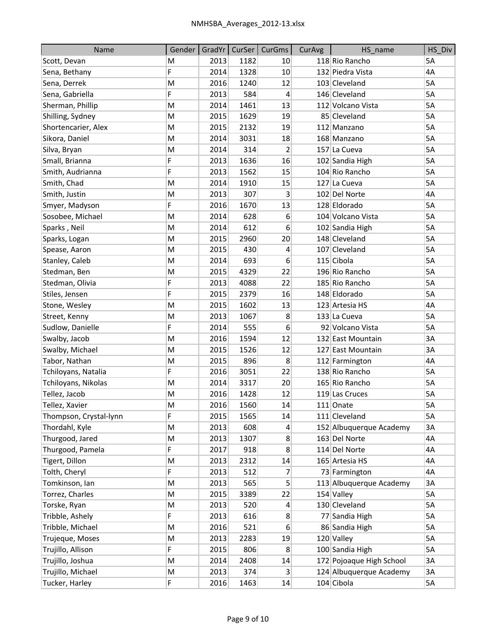| Name                   | Gender | GradYr | CurSer | CurGms           | CurAvg | HS_name                  | HS Div |
|------------------------|--------|--------|--------|------------------|--------|--------------------------|--------|
| Scott, Devan           | M      | 2013   | 1182   | 10               |        | 118 Rio Rancho           | 5A     |
| Sena, Bethany          | F      | 2014   | 1328   | 10               |        | 132 Piedra Vista         | 4A     |
| Sena, Derrek           | M      | 2016   | 1240   | 12               |        | 103 Cleveland            | 5A     |
| Sena, Gabriella        | F      | 2013   | 584    | 4                |        | 146 Cleveland            | 5A     |
| Sherman, Phillip       | M      | 2014   | 1461   | 13               |        | 112 Volcano Vista        | 5A     |
| Shilling, Sydney       | M      | 2015   | 1629   | 19               |        | 85 Cleveland             | 5A     |
| Shortencarier, Alex    | M      | 2015   | 2132   | 19               |        | 112 Manzano              | 5A     |
| Sikora, Daniel         | M      | 2014   | 3031   | 18               |        | 168 Manzano              | 5A     |
| Silva, Bryan           | M      | 2014   | 314    | $\overline{2}$   |        | 157 La Cueva             | 5A     |
| Small, Brianna         | F      | 2013   | 1636   | 16               |        | 102 Sandia High          | 5A     |
| Smith, Audrianna       | F      | 2013   | 1562   | 15               |        | 104 Rio Rancho           | 5A     |
| Smith, Chad            | M      | 2014   | 1910   | 15               |        | 127 La Cueva             | 5A     |
| Smith, Justin          | M      | 2013   | 307    | 3                |        | 102 Del Norte            | 4A     |
| Smyer, Madyson         | F      | 2016   | 1670   | 13               |        | 128 Eldorado             | 5A     |
| Sosobee, Michael       | M      | 2014   | 628    | 6                |        | 104 Volcano Vista        | 5A     |
| Sparks, Neil           | M      | 2014   | 612    | 6                |        | 102 Sandia High          | 5A     |
| Sparks, Logan          | M      | 2015   | 2960   | 20               |        | 148 Cleveland            | 5A     |
| Spease, Aaron          | M      | 2015   | 430    | 4                |        | 107 Cleveland            | 5A     |
| Stanley, Caleb         | M      | 2014   | 693    | 6                |        | 115 Cibola               | 5A     |
| Stedman, Ben           | M      | 2015   | 4329   | 22               |        | 196 Rio Rancho           | 5A     |
| Stedman, Olivia        | F      | 2013   | 4088   | 22               |        | 185 Rio Rancho           | 5A     |
| Stiles, Jensen         | F      | 2015   | 2379   | 16               |        | 148 Eldorado             | 5A     |
| Stone, Wesley          | M      | 2015   | 1602   | 13               |        | 123 Artesia HS           | 4A     |
| Street, Kenny          | M      | 2013   | 1067   | 8                |        | 133 La Cueva             | 5A     |
| Sudlow, Danielle       | F      | 2014   | 555    | 6                |        | 92 Volcano Vista         | 5A     |
| Swalby, Jacob          | M      | 2016   | 1594   | 12               |        | 132 East Mountain        | 3A     |
| Swalby, Michael        | M      | 2015   | 1526   | 12               |        | 127 East Mountain        | 3A     |
| Tabor, Nathan          | M      | 2015   | 896    | 8                |        | 112 Farmington           | 4A     |
| Tchiloyans, Natalia    | F      | 2016   | 3051   | 22               |        | 138 Rio Rancho           | 5A     |
| Tchiloyans, Nikolas    | M      | 2014   | 3317   | 20               |        | 165 Rio Rancho           | 5A     |
| Tellez, Jacob          | M      | 2016   | 1428   | 12               |        | 119 Las Cruces           | 5A     |
| Tellez, Xavier         | M      | 2016   | 1560   | 14               |        | $111$ Onate              | 5A     |
| Thompson, Crystal-lynn | F      | 2015   | 1565   | 14               |        | 111 Cleveland            | 5A     |
| Thordahl, Kyle         | M      | 2013   | 608    | 4                |        | 152 Albuquerque Academy  | 3A     |
| Thurgood, Jared        | M      | 2013   | 1307   | 8                |        | 163 Del Norte            | 4A     |
| Thurgood, Pamela       | F      | 2017   | 918    | 8                |        | 114 Del Norte            | 4A     |
| Tigert, Dillon         | M      | 2013   | 2312   | 14               |        | 165 Artesia HS           | 4A     |
| Tolth, Cheryl          | F      | 2013   | 512    | 7                |        | 73 Farmington            | 4A     |
| Tomkinson, Ian         | M      | 2013   | 565    | 5                |        | 113 Albuquerque Academy  | 3A     |
| Torrez, Charles        | M      | 2015   | 3389   | 22               |        | 154 Valley               | 5A     |
| Torske, Ryan           | M      | 2013   | 520    | $\overline{4}$   |        | 130 Cleveland            | 5A     |
| Tribble, Ashely        | F      | 2013   | 616    | 8                |        | 77 Sandia High           | 5A     |
| Tribble, Michael       | M      | 2016   | 521    | $6 \overline{6}$ |        | 86 Sandia High           | 5A     |
| Trujeque, Moses        | M      | 2013   | 2283   | 19               |        | 120 Valley               | 5A     |
| Trujillo, Allison      | F      | 2015   | 806    | 8                |        | 100 Sandia High          | 5A     |
| Trujillo, Joshua       | M      | 2014   | 2408   | 14               |        | 172 Pojoaque High School | 3A     |
| Trujillo, Michael      | M      | 2013   | 374    | 3                |        | 124 Albuquerque Academy  | 3A     |
| Tucker, Harley         | F      | 2016   | 1463   | 14               |        | 104 Cibola               | 5A     |